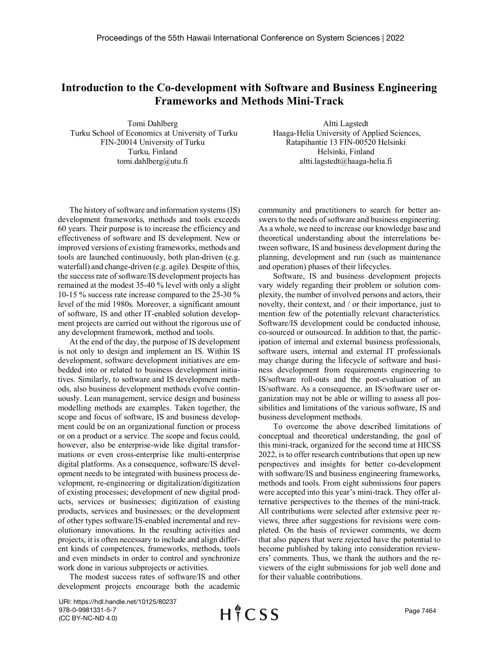## **Introduction to the Co-development with Software and Business Engineering Frameworks and Methods Mini-Track**

Tomi Dahlberg Turku School of Economics at University of Turku FIN-20014 University of Turku Turku, Finland tomi.dahlberg@utu.fi

Altti Lagstedt Haaga-Helia University of Applied Sciences, Ratapihantie 13 FIN-00520 Helsinki Helsinki, Finland altti.lagstedt@haaga-helia.fi

The history of software and information systems (IS) development frameworks, methods and tools exceeds 60 years. Their purpose is to increase the efficiency and effectiveness of software and IS development. New or improved versions of existing frameworks, methods and tools are launched continuously, both plan-driven (e.g. waterfall) and change-driven (e.g. agile). Despite of this, the success rate of software/IS development projects has remained at the modest 35-40 % level with only a slight 10-15 % success rate increase compared to the 25-30 % level of the mid 1980s. Moreover, a significant amount of software, IS and other IT-enabled solution development projects are carried out without the rigorous use of any development framework, method and tools.

At the end of the day, the purpose of IS development is not only to design and implement an IS. Within IS development, software development initiatives are embedded into or related to business development initiatives. Similarly, to software and IS development methods, also business development methods evolve continuously. Lean management, service design and business modelling methods are examples. Taken together, the scope and focus of software, IS and business development could be on an organizational function or process or on a product or a service. The scope and focus could, however, also be enterprise-wide like digital transformations or even cross-enterprise like multi-enterprise digital platforms. As a consequence, software/IS development needs to be integrated with business process development, re-engineering or digitalization/digitization of existing processes; development of new digital products, services or businesses; digitization of existing products, services and businesses; or the development of other types software/IS-enabled incremental and revolutionary innovations. In the resulting activities and projects, it is often necessary to include and align different kinds of competences, frameworks, methods, tools and even mindsets in order to control and synchronize work done in various subprojects or activities.

The modest success rates of software/IS and other development projects encourage both the academic community and practitioners to search for better answers to the needs of software and business engineering. As a whole, we need to increase our knowledge base and theoretical understanding about the interrelations between software, IS and business development during the planning, development and run (such as maintenance and operation) phases of their lifecycles.

Software, IS and business development projects vary widely regarding their problem or solution complexity, the number of involved persons and actors, their novelty, their context, and / or their importance, just to mention few of the potentially relevant characteristics. Software/IS development could be conducted inhouse, co-sourced or outsourced. In addition to that, the participation of internal and external business professionals, software users, internal and external IT professionals may change during the lifecycle of software and business development from requirements engineering to IS/software roll-outs and the post-evaluation of an IS/software. As a consequence, an IS/software user organization may not be able or willing to assess all possibilities and limitations of the various software, IS and business development methods.

To overcome the above described limitations of conceptual and theoretical understanding, the goal of this mini-track, organized for the second time at HICSS 2022, is to offer research contributions that open up new perspectives and insights for better co-development with software/IS and business engineering frameworks, methods and tools. From eight submissions four papers were accepted into this year's mini-track. They offer alternative perspectives to the themes of the mini-track. All contributions were selected after extensive peer reviews, three after suggestions for revisions were completed. On the basis of reviewer comments, we deem that also papers that were rejected have the potential to become published by taking into consideration reviewers' comments. Thus, we thank the authors and the reviewers of the eight submissions for job well done and for their valuable contributions.

URI: https://hdl.handle.net/10125/80237 978-0-9981331-5-7 (CC BY-NC-ND 4.0)